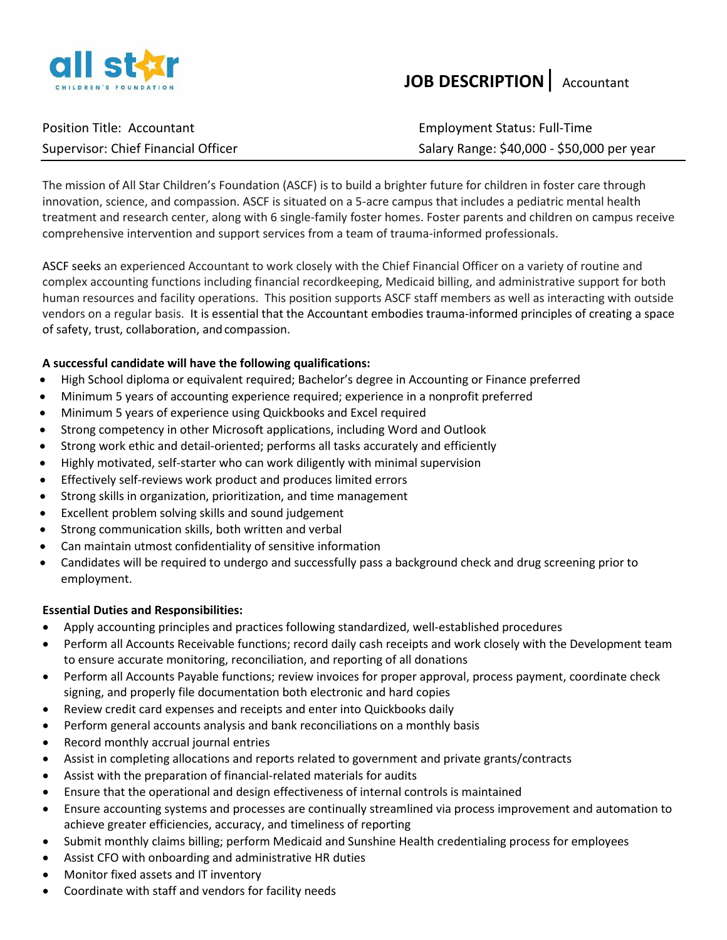

## **JOB DESCRIPTION**| Accountant

| Position Title: Accountant          |
|-------------------------------------|
| Supervisor: Chief Financial Officer |

**Employment Status: Full-Time** Salary Range: \$40,000 - \$50,000 per year

The mission of All Star Children's Foundation (ASCF) is to build a brighter future for children in foster care through innovation, science, and compassion. ASCF is situated on a 5-acre campus that includes a pediatric mental health treatment and research center, along with 6 single-family foster homes. Foster parents and children on campus receive comprehensive intervention and support services from a team of trauma-informed professionals.

ASCF seeks an experienced Accountant to work closely with the Chief Financial Officer on a variety of routine and complex accounting functions including financial recordkeeping, Medicaid billing, and administrative support for both human resources and facility operations. This position supports ASCF staff members as well as interacting with outside vendors on a regular basis. It is essential that the Accountant embodies trauma-informed principles of creating a space of safety, trust, collaboration, andcompassion.

## **A successful candidate will have the following qualifications:**

- High School diploma or equivalent required; Bachelor's degree in Accounting or Finance preferred
- Minimum 5 years of accounting experience required; experience in a nonprofit preferred
- Minimum 5 years of experience using Quickbooks and Excel required
- Strong competency in other Microsoft applications, including Word and Outlook
- Strong work ethic and detail-oriented; performs all tasks accurately and efficiently
- Highly motivated, self-starter who can work diligently with minimal supervision
- Effectively self-reviews work product and produces limited errors
- Strong skills in organization, prioritization, and time management
- Excellent problem solving skills and sound judgement
- Strong communication skills, both written and verbal
- Can maintain utmost confidentiality of sensitive information
- Candidates will be required to undergo and successfully pass a background check and drug screening prior to employment.

## **Essential Duties and Responsibilities:**

- Apply accounting principles and practices following standardized, well-established procedures
- Perform all Accounts Receivable functions; record daily cash receipts and work closely with the Development team to ensure accurate monitoring, reconciliation, and reporting of all donations
- Perform all Accounts Payable functions; review invoices for proper approval, process payment, coordinate check signing, and properly file documentation both electronic and hard copies
- Review credit card expenses and receipts and enter into Quickbooks daily
- Perform general accounts analysis and bank reconciliations on a monthly basis
- Record monthly accrual journal entries
- Assist in completing allocations and reports related to government and private grants/contracts
- Assist with the preparation of financial-related materials for audits
- Ensure that the operational and design effectiveness of internal controls is maintained
- Ensure accounting systems and processes are continually streamlined via process improvement and automation to achieve greater efficiencies, accuracy, and timeliness of reporting
- Submit monthly claims billing; perform Medicaid and Sunshine Health credentialing process for employees
- Assist CFO with onboarding and administrative HR duties
- Monitor fixed assets and IT inventory
- Coordinate with staff and vendors for facility needs